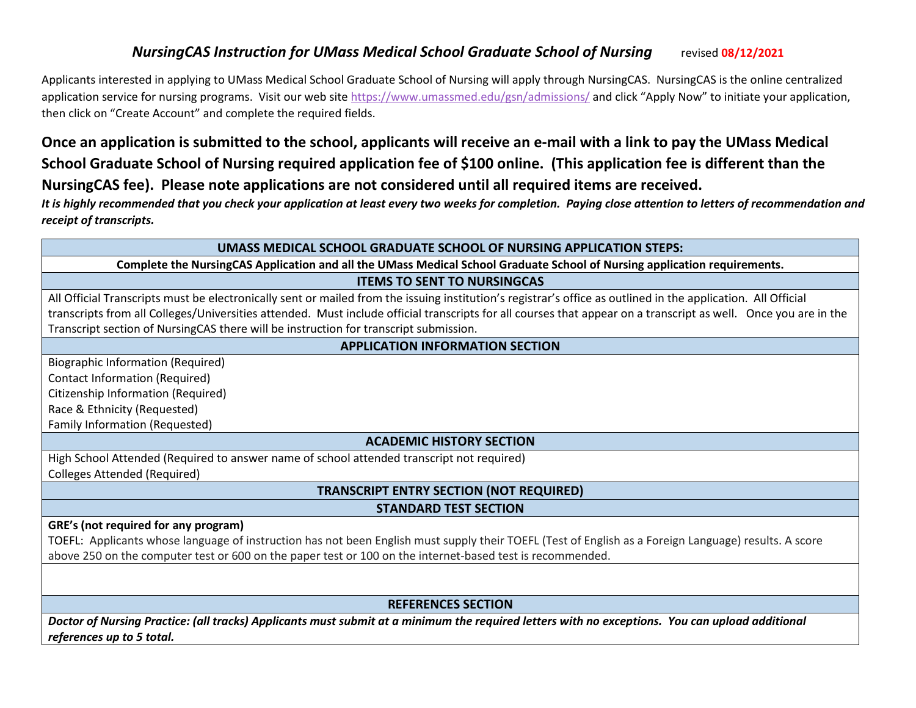## *NursingCAS Instruction for UMass Medical School Graduate School of Nursing* **revised 08/12/2021**

Applicants interested in applying to UMass Medical School Graduate School of Nursing will apply through NursingCAS. NursingCAS is the online centralized application service for nursing programs. Visit our web site<https://www.umassmed.edu/gsn/admissions/> and click "Apply Now" to initiate your application, then click on "Create Account" and complete the required fields.

# **Once an application is submitted to the school, applicants will receive an e-mail with a link to pay the UMass Medical School Graduate School of Nursing required application fee of \$100 online. (This application fee is different than the NursingCAS fee). Please note applications are not considered until all required items are received.**

*It is highly recommended that you check your application at least every two weeks for completion. Paying close attention to letters of recommendation and receipt of transcripts.*

#### **UMASS MEDICAL SCHOOL GRADUATE SCHOOL OF NURSING APPLICATION STEPS:**

**Complete the NursingCAS Application and all the UMass Medical School Graduate School of Nursing application requirements.**

#### **ITEMS TO SENT TO NURSINGCAS**

All Official Transcripts must be electronically sent or mailed from the issuing institution's registrar's office as outlined in the application. All Official transcripts from all Colleges/Universities attended. Must include official transcripts for all courses that appear on a transcript as well. Once you are in the Transcript section of NursingCAS there will be instruction for transcript submission.

### **APPLICATION INFORMATION SECTION**

Biographic Information (Required) Contact Information (Required) Citizenship Information (Required) Race & Ethnicity (Requested) Family Information (Requested)

### **ACADEMIC HISTORY SECTION**

High School Attended (Required to answer name of school attended transcript not required) Colleges Attended (Required)

## **TRANSCRIPT ENTRY SECTION (NOT REQUIRED)**

#### **STANDARD TEST SECTION**

#### **GRE's (not required for any program)**

TOEFL: Applicants whose language of instruction has not been English must supply their TOEFL (Test of English as a Foreign Language) results. A score above 250 on the computer test or 600 on the paper test or 100 on the internet-based test is recommended.

### **REFERENCES SECTION**

*Doctor of Nursing Practice: (all tracks) Applicants must submit at a minimum the required letters with no exceptions. You can upload additional references up to 5 total.*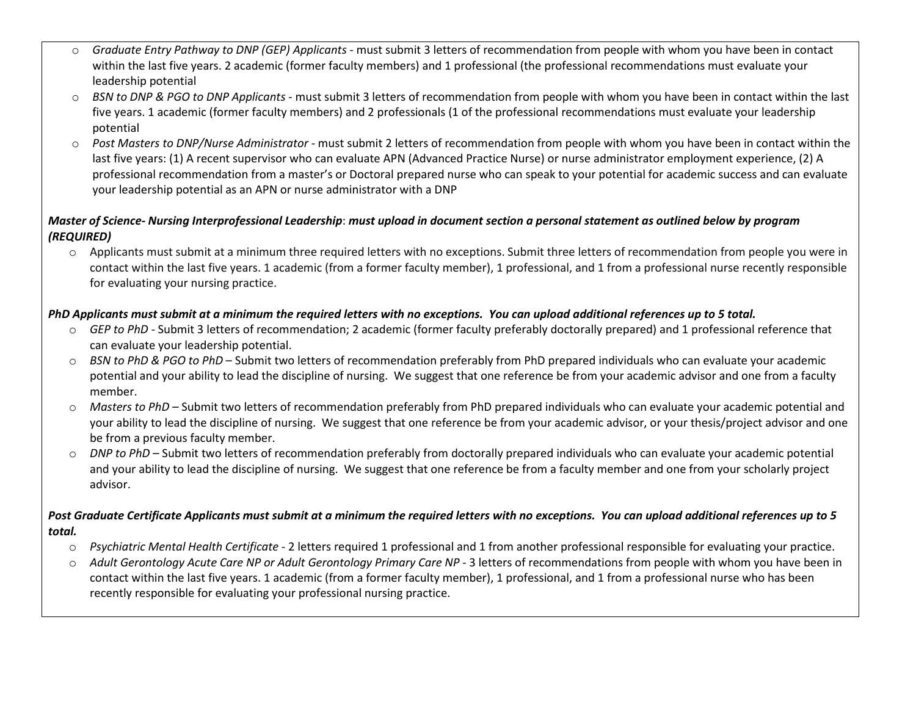- o *Graduate Entry Pathway to DNP (GEP) Applicants* must submit 3 letters of recommendation from people with whom you have been in contact within the last five years. 2 academic (former faculty members) and 1 professional (the professional recommendations must evaluate your leadership potential
- o *BSN to DNP & PGO to DNP Applicants* must submit 3 letters of recommendation from people with whom you have been in contact within the last five years. 1 academic (former faculty members) and 2 professionals (1 of the professional recommendations must evaluate your leadership potential
- o *Post Masters to DNP/Nurse Administrator* must submit 2 letters of recommendation from people with whom you have been in contact within the last five years: (1) A recent supervisor who can evaluate APN (Advanced Practice Nurse) or nurse administrator employment experience, (2) A professional recommendation from a master's or Doctoral prepared nurse who can speak to your potential for academic success and can evaluate your leadership potential as an APN or nurse administrator with a DNP

### *Master of Science- Nursing Interprofessional Leadership*: *must upload in document section a personal statement as outlined below by program (REQUIRED)*

o Applicants must submit at a minimum three required letters with no exceptions. Submit three letters of recommendation from people you were in contact within the last five years. 1 academic (from a former faculty member), 1 professional, and 1 from a professional nurse recently responsible for evaluating your nursing practice.

### *PhD Applicants must submit at a minimum the required letters with no exceptions. You can upload additional references up to 5 total.*

- o *GEP to PhD -* Submit 3 letters of recommendation; 2 academic (former faculty preferably doctorally prepared) and 1 professional reference that can evaluate your leadership potential.
- o *BSN to PhD & PGO to PhD* Submit two letters of recommendation preferably from PhD prepared individuals who can evaluate your academic potential and your ability to lead the discipline of nursing. We suggest that one reference be from your academic advisor and one from a faculty member.
- o *Masters to PhD –* Submit two letters of recommendation preferably from PhD prepared individuals who can evaluate your academic potential and your ability to lead the discipline of nursing. We suggest that one reference be from your academic advisor, or your thesis/project advisor and one be from a previous faculty member.
- o *DNP to PhD –* Submit two letters of recommendation preferably from doctorally prepared individuals who can evaluate your academic potential and your ability to lead the discipline of nursing. We suggest that one reference be from a faculty member and one from your scholarly project advisor.

### *Post Graduate Certificate Applicants must submit at a minimum the required letters with no exceptions. You can upload additional references up to 5 total.*

- o *Psychiatric Mental Health Certificate* 2 letters required 1 professional and 1 from another professional responsible for evaluating your practice.
- o *Adult Gerontology Acute Care NP or Adult Gerontology Primary Care NP*  3 letters of recommendations from people with whom you have been in contact within the last five years. 1 academic (from a former faculty member), 1 professional, and 1 from a professional nurse who has been recently responsible for evaluating your professional nursing practice.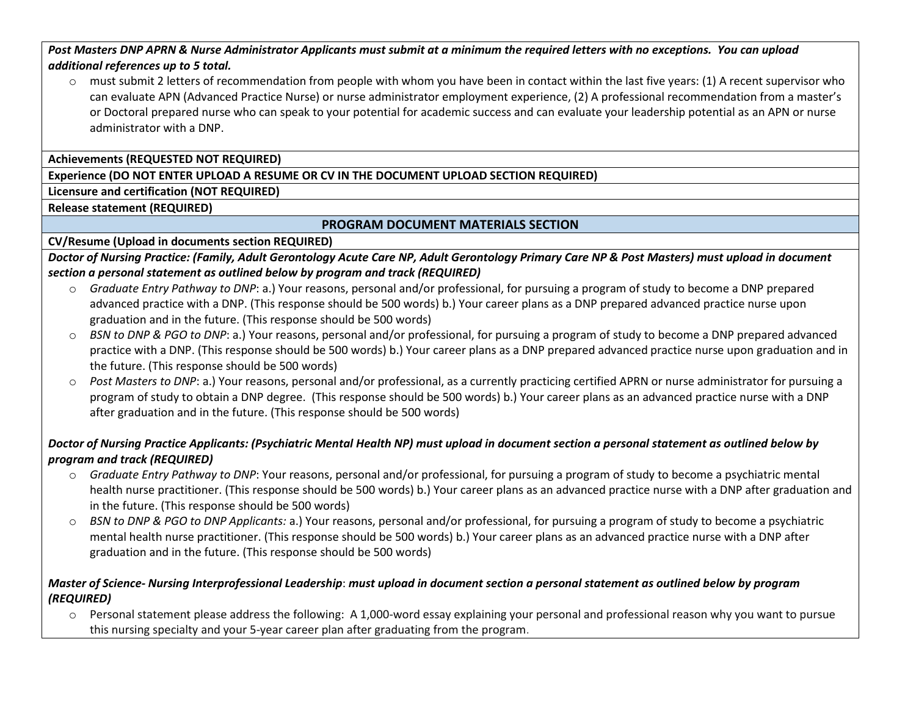*Post Masters DNP APRN & Nurse Administrator Applicants must submit at a minimum the required letters with no exceptions. You can upload additional references up to 5 total.*

 $\circ$  must submit 2 letters of recommendation from people with whom you have been in contact within the last five years: (1) A recent supervisor who can evaluate APN (Advanced Practice Nurse) or nurse administrator employment experience, (2) A professional recommendation from a master's or Doctoral prepared nurse who can speak to your potential for academic success and can evaluate your leadership potential as an APN or nurse administrator with a DNP.

**Achievements (REQUESTED NOT REQUIRED)**

#### **Experience (DO NOT ENTER UPLOAD A RESUME OR CV IN THE DOCUMENT UPLOAD SECTION REQUIRED)**

**Licensure and certification (NOT REQUIRED)**

**Release statement (REQUIRED)**

### **PROGRAM DOCUMENT MATERIALS SECTION**

**CV/Resume (Upload in documents section REQUIRED)**

*Doctor of Nursing Practice: (Family, Adult Gerontology Acute Care NP, Adult Gerontology Primary Care NP & Post Masters) must upload in document section a personal statement as outlined below by program and track (REQUIRED)*

- o *Graduate Entry Pathway to DNP*: a.) Your reasons, personal and/or professional, for pursuing a program of study to become a DNP prepared advanced practice with a DNP. (This response should be 500 words) b.) Your career plans as a DNP prepared advanced practice nurse upon graduation and in the future. (This response should be 500 words)
- o *BSN to DNP & PGO to DNP*: a.) Your reasons, personal and/or professional, for pursuing a program of study to become a DNP prepared advanced practice with a DNP. (This response should be 500 words) b.) Your career plans as a DNP prepared advanced practice nurse upon graduation and in the future. (This response should be 500 words)
- o *Post Masters to DNP*: a.) Your reasons, personal and/or professional, as a currently practicing certified APRN or nurse administrator for pursuing a program of study to obtain a DNP degree. (This response should be 500 words) b.) Your career plans as an advanced practice nurse with a DNP after graduation and in the future. (This response should be 500 words)

### *Doctor of Nursing Practice Applicants: (Psychiatric Mental Health NP) must upload in document section a personal statement as outlined below by program and track (REQUIRED)*

- o *Graduate Entry Pathway to DNP*: Your reasons, personal and/or professional, for pursuing a program of study to become a psychiatric mental health nurse practitioner. (This response should be 500 words) b.) Your career plans as an advanced practice nurse with a DNP after graduation and in the future. (This response should be 500 words)
- o *BSN to DNP & PGO to DNP Applicants:* a.) Your reasons, personal and/or professional, for pursuing a program of study to become a psychiatric mental health nurse practitioner. (This response should be 500 words) b.) Your career plans as an advanced practice nurse with a DNP after graduation and in the future. (This response should be 500 words)

#### *Master of Science- Nursing Interprofessional Leadership*: *must upload in document section a personal statement as outlined below by program (REQUIRED)*

o Personal statement please address the following: A 1,000-word essay explaining your personal and professional reason why you want to pursue this nursing specialty and your 5-year career plan after graduating from the program.